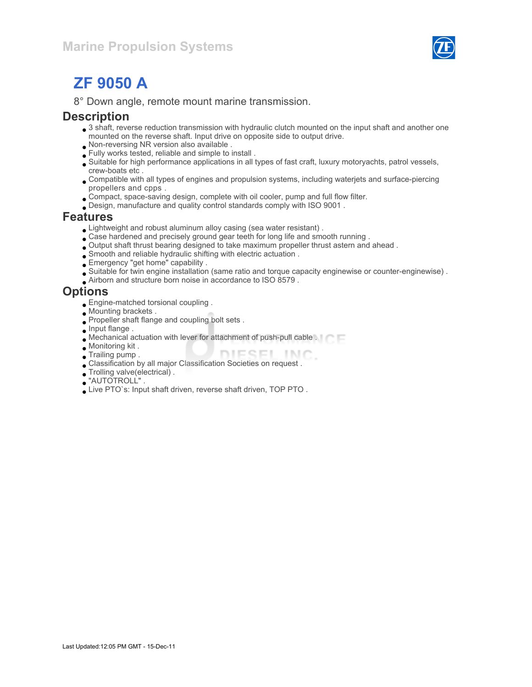

# ZF 9050 A

8° Down angle, remote mount marine transmission.

#### **Description**

- 3 shaft, reverse reduction transmission with hydraulic clutch mounted on the input shaft and another one mounted on the reverse shaft. Input drive on opposite side to output drive.
- Non-reversing NR version also available .
- Fully works tested, reliable and simple to install .
- Suitable for high performance applications in all types of fast craft, luxury motoryachts, patrol vessels, crew-boats etc .
- Compatible with all types of engines and propulsion systems, including waterjets and surface-piercing propellers and cpps .
- Compact, space-saving design, complete with oil cooler, pump and full flow filter.
- Design, manufacture and quality control standards comply with ISO 9001 .

#### Features

- Lightweight and robust aluminum alloy casing (sea water resistant) .
- Case hardened and precisely ground gear teeth for long life and smooth running .
- Output shaft thrust bearing designed to take maximum propeller thrust astern and ahead .
- Smooth and reliable hydraulic shifting with electric actuation .
- Emergency "get home" capability .
- Suitable for twin engine installation (same ratio and torque capacity enginewise or counter-enginewise) .
- Airborn and structure born noise in accordance to ISO 8579 .

#### **Options**

- Engine-matched torsional coupling .
- Mounting brackets .
- Propeller shaft flange and coupling bolt sets .
- **Input flange.**
- Mechanical actuation with lever for attachment of push-pull cable .
- Monitoring kit .
- Trailing pump . DIESEL INC
- Classification by all major Classification Societies on request .
- Trolling valve(electrical) .
- "AUTOTROLL" .
- Live PTO`s: Input shaft driven, reverse shaft driven, TOP PTO .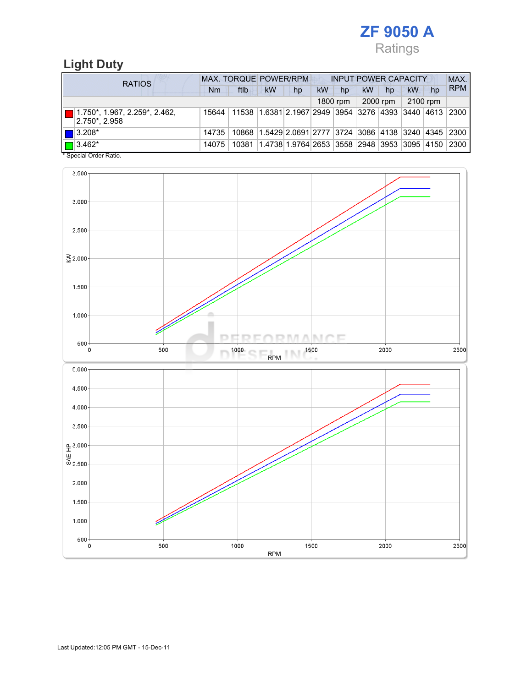

### Light Duty

| <b>RATIOS</b>                                                              | MAX. TORQUE POWER/RPM |                                                                                  |                                                                        |    |    | <b>INPUT POWER CAPACITY</b> |           |          |          |    |            |
|----------------------------------------------------------------------------|-----------------------|----------------------------------------------------------------------------------|------------------------------------------------------------------------|----|----|-----------------------------|-----------|----------|----------|----|------------|
|                                                                            | Nm                    | ftlb                                                                             | <b>kW</b>                                                              | hp | kW | hp                          | <b>kW</b> | hp       | kW       | hp | <b>RPM</b> |
|                                                                            |                       |                                                                                  |                                                                        |    |    | 1800 rpm                    |           | 2000 rpm | 2100 rpm |    |            |
| $\boxed{\blacksquare}$ 1.750*, 1.967, 2.259*, 2.462,<br>$ 2.750^* , 2.958$ |                       | 15644   11538   1.6381   2.1967   2949   3954   3276   4393   3440   4613   2300 |                                                                        |    |    |                             |           |          |          |    |            |
| $\blacksquare$ 3.208*                                                      | 14735                 |                                                                                  | 10868 1.5429 2.0691 2777 3724 3086 4138 3240 4345 2300                 |    |    |                             |           |          |          |    |            |
| $\Box$ 3.462*<br>$\cdots$                                                  | 14075                 |                                                                                  | 10381  1.4738  1.9764   2653   3558   2948   3953   3095   4150   2300 |    |    |                             |           |          |          |    |            |

\* Special Order Ratio.

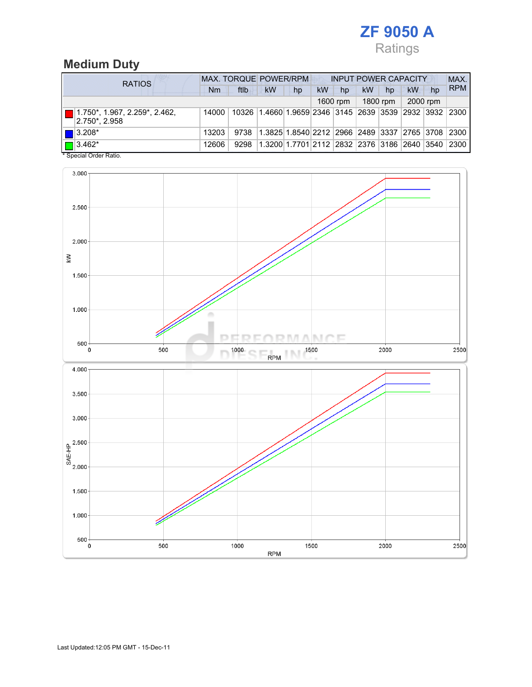

## Medium Duty

| <b>RATIOS</b>                                             | MAX. TORQUE POWER/RPM<br><b>INPUT POWER CAPACITY</b> |      |                                                         |    |    |          |           |          |          | MAX. |            |
|-----------------------------------------------------------|------------------------------------------------------|------|---------------------------------------------------------|----|----|----------|-----------|----------|----------|------|------------|
|                                                           | Nm                                                   | ftlb | <b>kW</b>                                               | hp | kW | hp       | <b>kW</b> | hp       | kW       | hp   | <b>RPM</b> |
|                                                           |                                                      |      |                                                         |    |    | 1600 rpm |           | 1800 rpm | 2000 rpm |      |            |
| $\Box$ 1.750*, 1.967, 2.259*, 2.462,<br>$ 2.750^* 2.958 $ | 14000                                                |      | 10326 1.4660 1.9659 2346 3145 2639 3539 2932 3932 2300  |    |    |          |           |          |          |      |            |
| $\blacksquare$ 3.208*                                     | 13203                                                | 9738 | 1.3825 1.8540 2212  2966  2489  3337  2765  3708   2300 |    |    |          |           |          |          |      |            |
| $\Box$ 3.462*<br>$\ddotsc$ $\ddotsc$ $\ddotsc$ $\ddotsc$  | 12606                                                | 9298 | 1.3200 1.7701 2112  2832  2376  3186  2640  3540   2300 |    |    |          |           |          |          |      |            |

\* Special Order Ratio.

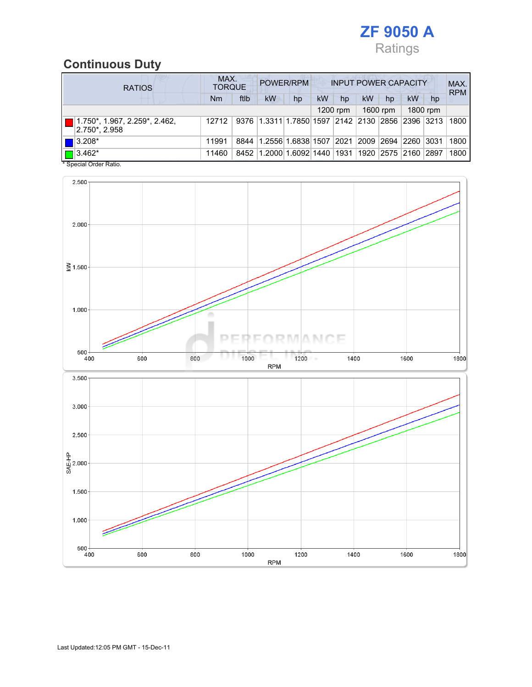

### Continuous Duty

| <b>RATIOS</b>                                      | MAX.<br>POWER/RPM<br><b>INPUT POWER CAPACITY</b><br><b>TORQUE</b> |      |                                                  |    |    |                |    |                    |    |          | MAX.<br><b>RPM</b> |
|----------------------------------------------------|-------------------------------------------------------------------|------|--------------------------------------------------|----|----|----------------|----|--------------------|----|----------|--------------------|
|                                                    | <b>Nm</b>                                                         | ftlb | kW                                               | hp | kW | hp             | kW | hp                 | kW | hp       |                    |
|                                                    |                                                                   |      |                                                  |    |    | $1200$ rpm     |    | 1600 rpm           |    | 1800 rpm |                    |
| 1.750*, 1.967, 2.259*, 2.462,<br>$ 2.750^* 2.958 $ | 12712                                                             |      | 9376 1.3311 1.7850 1597 2142 2130 2856 2396 3213 |    |    |                |    |                    |    |          | 1800               |
| $\blacksquare$ 3.208*                              | 11991                                                             | 8844 | 1.2556 1.6838 1507                               |    |    | $ 2021\rangle$ |    | 2009   2694   2260 |    | $ 3031$  | 1800               |
| $\Box$ 3.462*                                      | 11460                                                             | 8452 | 1.2000 1.6092 1440                               |    |    | 1931           |    | 1920   2575   2160 |    | 2897     | 1800               |

\* Special Order Ratio.

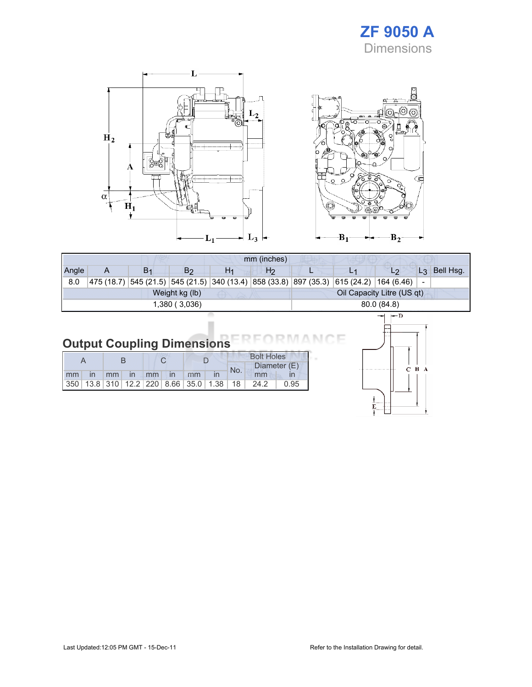### ZF 9050 A **Dimensions**





|  |                    |  |                   |              |    |  |     | <b>Bolt Holes</b> |    |  |  |  |
|--|--------------------|--|-------------------|--------------|----|--|-----|-------------------|----|--|--|--|
|  |                    |  |                   |              |    |  | No. | Diameter (E)      |    |  |  |  |
|  | mm<br>$\mathsf{I}$ |  | $\blacksquare$ mm | $\mathsf{I}$ | mm |  | mm  |                   | mm |  |  |  |

350 13.8 310 12.2 220 8.66 35.0 1.38 18 24.2 0.95



 $B_2$ 

 $-B_1$